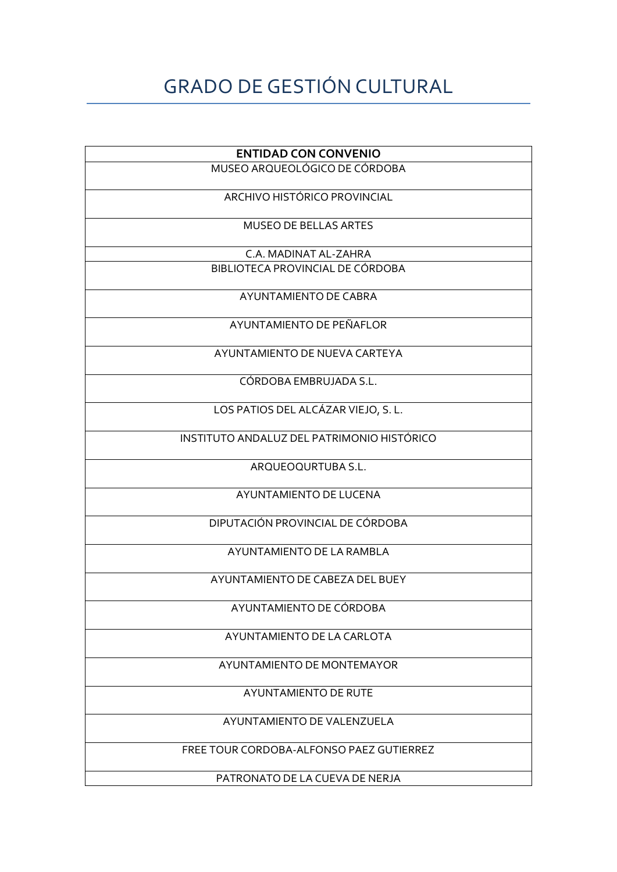## GRADO DE GESTIÓN CULTURAL

| <b>ENTIDAD CON CONVENIO</b>                |
|--------------------------------------------|
| MUSEO ARQUEOLÓGICO DE CÓRDOBA              |
| ARCHIVO HISTÓRICO PROVINCIAL               |
| <b>MUSEO DE BELLAS ARTES</b>               |
| C.A. MADINAT AL-ZAHRA                      |
| BIBLIOTECA PROVINCIAL DE CÓRDOBA           |
| AYUNTAMIENTO DE CABRA                      |
| AYUNTAMIENTO DE PEÑAFLOR                   |
| AYUNTAMIENTO DE NUEVA CARTEYA              |
| CÓRDOBA EMBRUJADA S.L.                     |
| LOS PATIOS DEL ALCÁZAR VIEJO, S. L.        |
| INSTITUTO ANDALUZ DEL PATRIMONIO HISTÓRICO |
| ARQUEOQURTUBA S.L.                         |
| AYUNTAMIENTO DE LUCENA                     |
| DIPUTACIÓN PROVINCIAL DE CÓRDOBA           |
| AYUNTAMIENTO DE LA RAMBLA                  |
| AYUNTAMIENTO DE CABEZA DEL BUEY            |
| AYUNTAMIENTO DE CÓRDOBA                    |
| AYUNTAMIENTO DE LA CARLOTA                 |
| AYUNTAMIENTO DE MONTEMAYOR                 |
| <b>AYUNTAMIENTO DE RUTE</b>                |
| AYUNTAMIENTO DE VALENZUELA                 |
| FREE TOUR CORDOBA-ALFONSO PAEZ GUTIERREZ   |
| PATRONATO DE LA CUEVA DE NERJA             |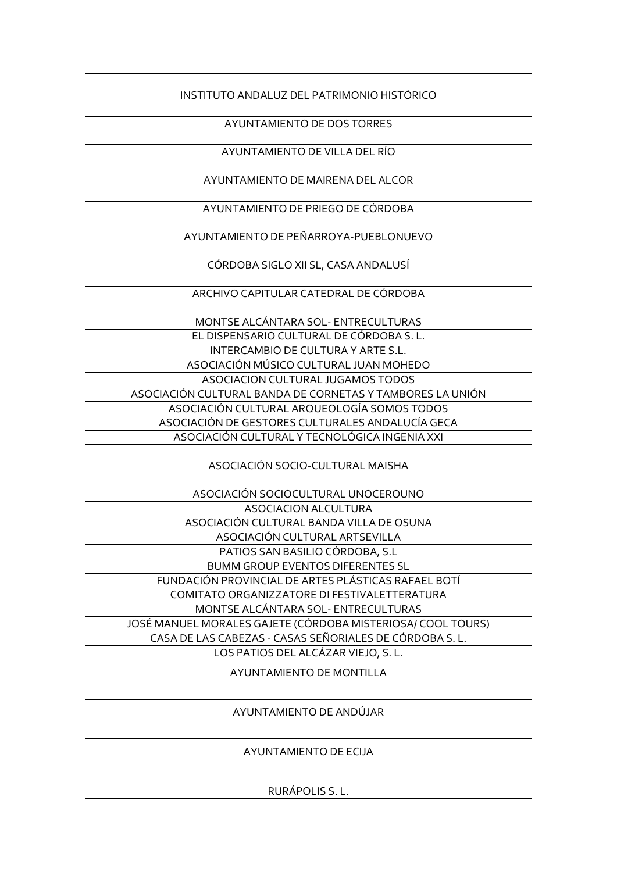| INSTITUTO ANDALUZ DEL PATRIMONIO HISTÓRICO                                                        |  |
|---------------------------------------------------------------------------------------------------|--|
| AYUNTAMIENTO DE DOS TORRES                                                                        |  |
| AYUNTAMIENTO DE VILLA DEL RÍO                                                                     |  |
| AYUNTAMIENTO DE MAIRENA DEL ALCOR                                                                 |  |
| AYUNTAMIENTO DE PRIEGO DE CÓRDOBA                                                                 |  |
| AYUNTAMIENTO DE PEÑARROYA-PUEBLONUEVO                                                             |  |
| CÓRDOBA SIGLO XII SL, CASA ANDALUSÍ                                                               |  |
| ARCHIVO CAPITULAR CATEDRAL DE CORDOBA                                                             |  |
|                                                                                                   |  |
| MONTSE ALCÁNTARA SOL- ENTRECULTURAS                                                               |  |
| EL DISPENSARIO CULTURAL DE CÓRDOBA S.L.                                                           |  |
| INTERCAMBIO DE CULTURA Y ARTE S.L.                                                                |  |
| ASOCIACIÓN MÚSICO CULTURAL JUAN MOHEDO                                                            |  |
| ASOCIACION CULTURAL JUGAMOS TODOS                                                                 |  |
| ASOCIACIÓN CULTURAL BANDA DE CORNETAS Y TAMBORES LA UNIÓN                                         |  |
| ASOCIACIÓN CULTURAL ARQUEOLOGÍA SOMOS TODOS                                                       |  |
| ASOCIACIÓN DE GESTORES CULTURALES ANDALUCÍA GECA<br>ASOCIACIÓN CULTURAL Y TECNOLÓGICA INGENIA XXI |  |
| ASOCIACIÓN SOCIO-CULTURAL MAISHA                                                                  |  |
| ASOCIACIÓN SOCIOCULTURAL UNOCEROUNO                                                               |  |
| <b>ASOCIACION ALCULTURA</b>                                                                       |  |
| ASOCIACIÓN CULTURAL BANDA VILLA DE OSUNA                                                          |  |
| ASOCIACION CULTURAL ARTSEVILLA                                                                    |  |
| PATIOS SAN BASILIO CÓRDOBA, S.L                                                                   |  |
| <b>BUMM GROUP EVENTOS DIFERENTES SL</b>                                                           |  |
| FUNDACIÓN PROVINCIAL DE ARTES PLÁSTICAS RAFAEL BOTÍ                                               |  |
| COMITATO ORGANIZZATORE DI FESTIVALETTERATURA                                                      |  |
| MONTSE ALCÁNTARA SOL-ENTRECULTURAS                                                                |  |
| JOSÉ MANUEL MORALES GAJETE (CÓRDOBA MISTERIOSA/ COOL TOURS)                                       |  |
| CASA DE LAS CABEZAS - CASAS SEÑORIALES DE CÓRDOBA S.L.                                            |  |
| LOS PATIOS DEL ALCÁZAR VIEJO, S. L.                                                               |  |
| AYUNTAMIENTO DE MONTILLA                                                                          |  |
| AYUNTAMIENTO DE ANDÚJAR                                                                           |  |
| AYUNTAMIENTO DE ECIJA                                                                             |  |
| RURÁPOLIS S. L.                                                                                   |  |